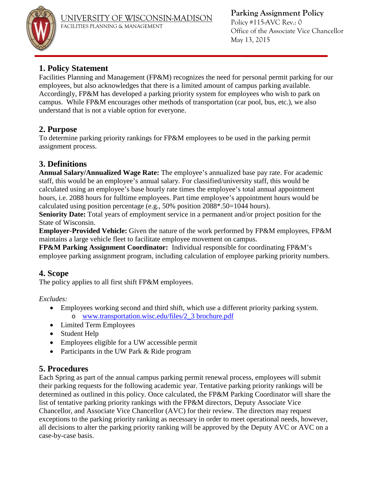

**Parking Assignment Policy** 

Policy #115-AVC Rev.: 0 Office of the Associate Vice Chancellor May 13, 2015

## **1. Policy Statement**

Facilities Planning and Management (FP&M) recognizes the need for personal permit parking for our employees, but also acknowledges that there is a limited amount of campus parking available. Accordingly, FP&M has developed a parking priority system for employees who wish to park on campus. While FP&M encourages other methods of transportation (car pool, bus, etc.), we also understand that is not a viable option for everyone.

## **2. Purpose**

To determine parking priority rankings for FP&M employees to be used in the parking permit assignment process.

## **3. Definitions**

**Annual Salary/Annualized Wage Rate:** The employee's annualized base pay rate. For academic staff, this would be an employee's annual salary. For classified/university staff, this would be calculated using an employee's base hourly rate times the employee's total annual appointment hours, i.e. 2088 hours for fulltime employees. Part time employee's appointment hours would be calculated using position percentage (e.g., 50% position 2088\*.50=1044 hours).

**Seniority Date:** Total years of employment service in a permanent and/or project position for the State of Wisconsin.

**Employer-Provided Vehicle:** Given the nature of the work performed by FP&M employees, FP&M maintains a large vehicle fleet to facilitate employee movement on campus.

**FP&M Parking Assignment Coordinator:** Individual responsible for coordinating FP&M's employee parking assignment program, including calculation of employee parking priority numbers.

### **4. Scope**

The policy applies to all first shift FP&M employees.

*Excludes:* 

- Employees working second and third shift, which use a different priority parking system. o [www.transportation.wisc.edu/files/2\\_3 brochure.pdf](http://www.transportation.wisc.edu/files/2_3%20brochure.pdf)
- Limited Term Employees
- Student Help
- Employees eligible for a UW accessible permit
- Participants in the UW Park & Ride program

# **5. Procedures**

Each Spring as part of the annual campus parking permit renewal process, employees will submit their parking requests for the following academic year. Tentative parking priority rankings will be determined as outlined in this policy. Once calculated, the FP&M Parking Coordinator will share the list of tentative parking priority rankings with the FP&M directors, Deputy Associate Vice Chancellor, and Associate Vice Chancellor (AVC) for their review. The directors may request exceptions to the parking priority ranking as necessary in order to meet operational needs, however, all decisions to alter the parking priority ranking will be approved by the Deputy AVC or AVC on a case-by-case basis.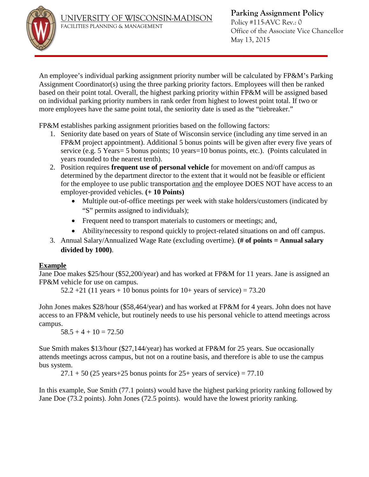

Policy #115-AVC Rev.: 0 Office of the Associate Vice Chancellor May 13, 2015

An employee's individual parking assignment priority number will be calculated by FP&M's Parking Assignment Coordinator(s) using the three parking priority factors. Employees will then be ranked based on their point total. Overall, the highest parking priority within FP&M will be assigned based on individual parking priority numbers in rank order from highest to lowest point total. If two or more employees have the same point total, the seniority date is used as the "tiebreaker."

FP&M establishes parking assignment priorities based on the following factors:

- 1. Seniority date based on years of State of Wisconsin service (including any time served in an FP&M project appointment). Additional 5 bonus points will be given after every five years of service (e.g. 5 Years= 5 bonus points; 10 years=10 bonus points, etc.). (Points calculated in years rounded to the nearest tenth).
- 2. Position requires **frequent use of personal vehicle** for movement on and/off campus as determined by the department director to the extent that it would not be feasible or efficient for the employee to use public transportation and the employee DOES NOT have access to an employer-provided vehicles. **(+ 10 Points)**
	- Multiple out-of-office meetings per week with stake holders/customers (indicated by "S" permits assigned to individuals);
	- Frequent need to transport materials to customers or meetings; and,
	- Ability/necessity to respond quickly to project-related situations on and off campus.
- 3. Annual Salary/Annualized Wage Rate (excluding overtime). **(# of points = Annual salary divided by 1000)**.

### **Example**

Jane Doe makes \$25/hour (\$52,200/year) and has worked at FP&M for 11 years. Jane is assigned an FP&M vehicle for use on campus.

 $52.2 + 21$  (11 years + 10 bonus points for 10+ years of service) = 73.20

John Jones makes \$28/hour (\$58,464/year) and has worked at FP&M for 4 years. John does not have access to an FP&M vehicle, but routinely needs to use his personal vehicle to attend meetings across campus.

 $58.5 + 4 + 10 = 72.50$ 

Sue Smith makes \$13/hour (\$27,144/year) has worked at FP&M for 25 years. Sue occasionally attends meetings across campus, but not on a routine basis, and therefore is able to use the campus bus system.

 $27.1 + 50$  (25 years+25 bonus points for  $25+$  years of service) = 77.10

In this example, Sue Smith (77.1 points) would have the highest parking priority ranking followed by Jane Doe (73.2 points). John Jones (72.5 points). would have the lowest priority ranking.